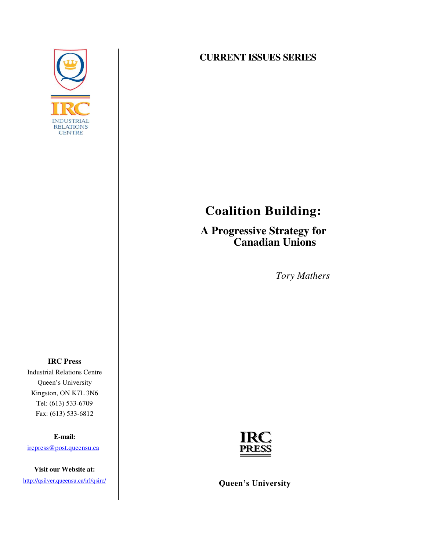

### **CURRENT ISSUES SERIES**

# **Coalition Building:**

**A Progressive Strategy for Canadian Unions** 

*Tory Mathers* 

**IRC Press**  Industrial Relations Centre Queen's University Kingston, ON K7L 3N6 Tel: (613) 533-6709 Fax: (613) 533-6812

**E-mail:** 

[ircpress@post.queensu.ca](mailto:ircpress@post.queensu.ca)

**Visit our Website at:** 



<http://qsilver.queensu.ca/irl/qsirc/> **Queen's University**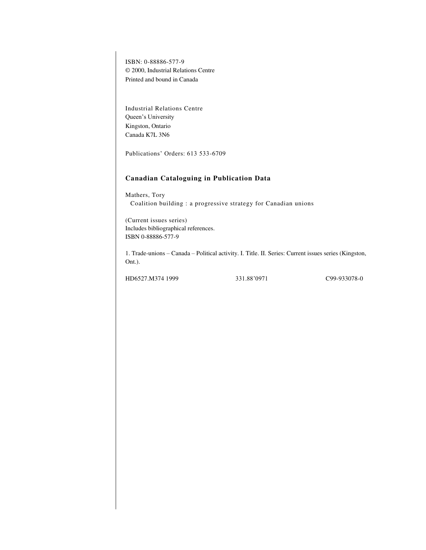ISBN: 0-88886-577-9 © 2000, Industrial Relations Centre Printed and bound in Canada

Industrial Relations Centre Queen's University Kingston, Ontario Canada K7L 3N6

Publications' Orders: 613 533-6709

#### **Canadian Cataloguing in Publication Data**

Mathers, Tory Coalition building : a progressive strategy for Canadian unions

(Current issues series) Includes bibliographical references. ISBN 0-88886-577-9

1. Trade-unions – Canada – Political activity. I. Title. II. Series: Current issues series (Kingston, Ont.).

HD6527.M374 1999 331.88'0971 C99-933078-0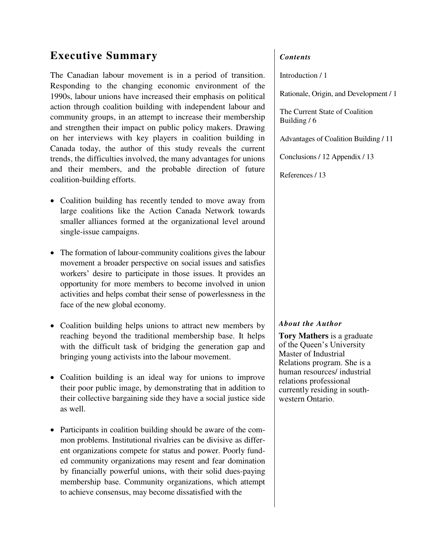## **Executive Summary**

The Canadian labour movement is in a period of transition. Responding to the changing economic environment of the 1990s, labour unions have increased their emphasis on political action through coalition building with independent labour and community groups, in an attempt to increase their membership and strengthen their impact on public policy makers. Drawing on her interviews with key players in coalition building in Canada today, the author of this study reveals the current trends, the difficulties involved, the many advantages for unions and their members, and the probable direction of future coalition-building efforts.

- Coalition building has recently tended to move away from large coalitions like the Action Canada Network towards smaller alliances formed at the organizational level around single-issue campaigns.
- The formation of labour-community coalitions gives the labour movement a broader perspective on social issues and satisfies workers' desire to participate in those issues. It provides an opportunity for more members to become involved in union activities and helps combat their sense of powerlessness in the face of the new global economy.
- Coalition building helps unions to attract new members by reaching beyond the traditional membership base. It helps with the difficult task of bridging the generation gap and bringing young activists into the labour movement.
- Coalition building is an ideal way for unions to improve their poor public image, by demonstrating that in addition to their collective bargaining side they have a social justice side as well.
- Participants in coalition building should be aware of the common problems. Institutional rivalries can be divisive as different organizations compete for status and power. Poorly funded community organizations may resent and fear domination by financially powerful unions, with their solid dues-paying membership base. Community organizations, which attempt to achieve consensus, may become dissatisfied with the

### *Contents*

Introduction / 1

Rationale, Origin, and Development / 1

The Current State of Coalition Building / 6

Advantages of Coalition Building / 11

Conclusions / 12 Appendix / 13

References / 13

### *About the Author*

**Tory Mathers** is a graduate of the Queen's University Master of Industrial Relations program. She is a human resources/ industrial relations professional currently residing in southwestern Ontario.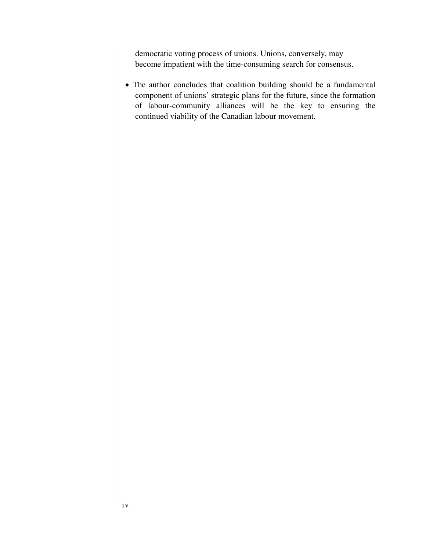democratic voting process of unions. Unions, conversely, may become impatient with the time-consuming search for consensus.

 The author concludes that coalition building should be a fundamental component of unions' strategic plans for the future, since the formation of labour-community alliances will be the key to ensuring the continued viability of the Canadian labour movement.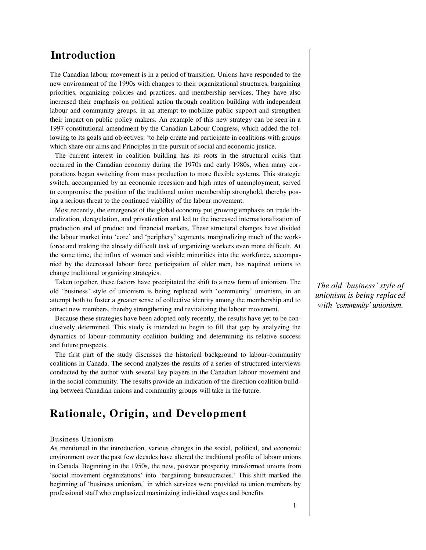### **Introduction**

The Canadian labour movement is in a period of transition. Unions have responded to the new environment of the 1990s with changes to their organizational structures, bargaining priorities, organizing policies and practices, and membership services. They have also increased their emphasis on political action through coalition building with independent labour and community groups, in an attempt to mobilize public support and strengthen their impact on public policy makers. An example of this new strategy can be seen in a 1997 constitutional amendment by the Canadian Labour Congress, which added the following to its goals and objectives: 'to help create and participate in coalitions with groups which share our aims and Principles in the pursuit of social and economic justice.

The current interest in coalition building has its roots in the structural crisis that occurred in the Canadian economy during the 1970s and early 1980s, when many corporations began switching from mass production to more flexible systems. This strategic switch, accompanied by an economic recession and high rates of unemployment, served to compromise the position of the traditional union membership stronghold, thereby posing a serious threat to the continued viability of the labour movement.

Most recently, the emergence of the global economy put growing emphasis on trade liberalization, deregulation, and privatization and led to the increased internationalization of production and of product and financial markets. These structural changes have divided the labour market into 'core' and 'periphery' segments, marginalizing much of the workforce and making the already difficult task of organizing workers even more difficult. At the same time, the influx of women and visible minorities into the workforce, accompanied by the decreased labour force participation of older men, has required unions to change traditional organizing strategies.

Taken together, these factors have precipitated the shift to a new form of unionism. The old 'business' style of unionism is being replaced with 'community' unionism, in an attempt both to foster a greater sense of collective identity among the membership and to attract new members, thereby strengthening and revitalizing the labour movement.

Because these strategies have been adopted only recently, the results have yet to be conclusively determined. This study is intended to begin to fill that gap by analyzing the dynamics of labour-community coalition building and determining its relative success and future prospects.

The first part of the study discusses the historical background to labour-community coalitions in Canada. The second analyzes the results of a series of structured interviews conducted by the author with several key players in the Canadian labour movement and in the social community. The results provide an indication of the direction coalition building between Canadian unions and community groups will take in the future.

### **Rationale, Origin, and Development**

#### Business Unionism

As mentioned in the introduction, various changes in the social, political, and economic environment over the past few decades have altered the traditional profile of labour unions in Canada. Beginning in the 1950s, the new, postwar prosperity transformed unions from 'social movement organizations' into 'bargaining bureaucracies.' This shift marked the beginning of 'business unionism,' in which services were provided to union members by professional staff who emphasized maximizing individual wages and benefits

*The old 'business' style of unionism is being replaced with 'community' unionism*.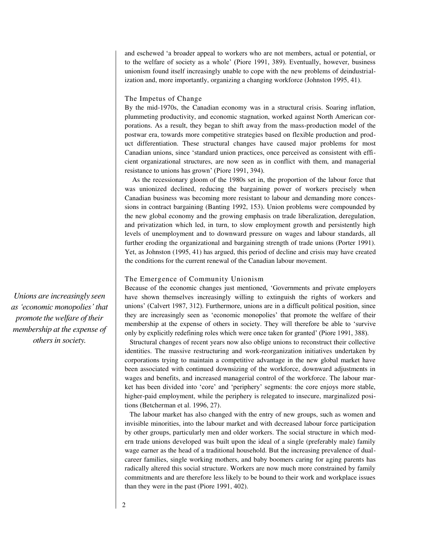and eschewed 'a broader appeal to workers who are not members, actual or potential, or to the welfare of society as a whole' (Piore 1991, 389). Eventually, however, business unionism found itself increasingly unable to cope with the new problems of deindustrialization and, more importantly, organizing a changing workforce (Johnston 1995, 41).

#### The Impetus of Change

By the mid-1970s, the Canadian economy was in a structural crisis. Soaring inflation, plummeting productivity, and economic stagnation, worked against North American corporations. As a result, they began to shift away from the mass-production model of the postwar era, towards more competitive strategies based on flexible production and product differentiation. These structural changes have caused major problems for most Canadian unions, since 'standard union practices, once perceived as consistent with efficient organizational structures, are now seen as in conflict with them, and managerial resistance to unions has grown' (Piore 1991, 394).

As the recessionary gloom of the 1980s set in, the proportion of the labour force that was unionized declined, reducing the bargaining power of workers precisely when Canadian business was becoming more resistant to labour and demanding more concessions in contract bargaining (Banting 1992, 153). Union problems were compounded by the new global economy and the growing emphasis on trade liberalization, deregulation, and privatization which led, in turn, to slow employment growth and persistently high levels of unemployment and to downward pressure on wages and labour standards, all further eroding the organizational and bargaining strength of trade unions (Porter 1991). Yet, as Johnston (1995, 41) has argued, this period of decline and crisis may have created the conditions for the current renewal of the Canadian labour movement.

#### The Emergence of Community Unionism

Because of the economic changes just mentioned, 'Governments and private employers have shown themselves increasingly willing to extinguish the rights of workers and unions' (Calvert 1987, 312). Furthermore, unions are in a difficult political position, since they are increasingly seen as 'economic monopolies' that promote the welfare of their membership at the expense of others in society. They will therefore be able to 'survive only by explicitly redefining roles which were once taken for granted' (Piore 1991, 388).

Structural changes of recent years now also oblige unions to reconstruct their collective identities. The massive restructuring and work-reorganization initiatives undertaken by corporations trying to maintain a competitive advantage in the new global market have been associated with continued downsizing of the workforce, downward adjustments in wages and benefits, and increased managerial control of the workforce. The labour market has been divided into 'core' and 'periphery' segments: the core enjoys more stable, higher-paid employment, while the periphery is relegated to insecure, marginalized positions (Betcherman et al. 1996, 27).

The labour market has also changed with the entry of new groups, such as women and invisible minorities, into the labour market and with decreased labour force participation by other groups, particularly men and older workers. The social structure in which modern trade unions developed was built upon the ideal of a single (preferably male) family wage earner as the head of a traditional household. But the increasing prevalence of dualcareer families, single working mothers, and baby boomers caring for aging parents has radically altered this social structure. Workers are now much more constrained by family commitments and are therefore less likely to be bound to their work and workplace issues than they were in the past (Piore 1991, 402).

*Unions are increasingly seen as 'economic monopolies' that promote the welfare of their membership at the expense of others in society.*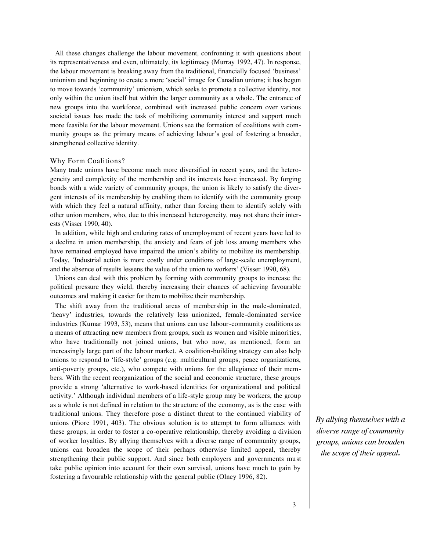All these changes challenge the labour movement, confronting it with questions about its representativeness and even, ultimately, its legitimacy (Murray 1992, 47). In response, the labour movement is breaking away from the traditional, financially focused 'business' unionism and beginning to create a more 'social' image for Canadian unions; it has begun to move towards 'community' unionism, which seeks to promote a collective identity, not only within the union itself but within the larger community as a whole. The entrance of new groups into the workforce, combined with increased public concern over various societal issues has made the task of mobilizing community interest and support much more feasible for the labour movement. Unions see the formation of coalitions with community groups as the primary means of achieving labour's goal of fostering a broader, strengthened collective identity.

#### Why Form Coalitions?

Many trade unions have become much more diversified in recent years, and the heterogeneity and complexity of the membership and its interests have increased. By forging bonds with a wide variety of community groups, the union is likely to satisfy the divergent interests of its membership by enabling them to identify with the community group with which they feel a natural affinity, rather than forcing them to identify solely with other union members, who, due to this increased heterogeneity, may not share their interests (Visser 1990, 40).

In addition, while high and enduring rates of unemployment of recent years have led to a decline in union membership, the anxiety and fears of job loss among members who have remained employed have impaired the union's ability to mobilize its membership. Today, 'Industrial action is more costly under conditions of large-scale unemployment, and the absence of results lessens the value of the union to workers' (Visser 1990, 68).

Unions can deal with this problem by forming with community groups to increase the political pressure they wield, thereby increasing their chances of achieving favourable outcomes and making it easier for them to mobilize their membership.

The shift away from the traditional areas of membership in the male-dominated, 'heavy' industries, towards the relatively less unionized, female-dominated service industries (Kumar 1993, 53), means that unions can use labour-community coalitions as a means of attracting new members from groups, such as women and visible minorities, who have traditionally not joined unions, but who now, as mentioned, form an increasingly large part of the labour market. A coalition-building strategy can also help unions to respond to 'life-style' groups (e.g. multicultural groups, peace organizations, anti-poverty groups, etc.), who compete with unions for the allegiance of their members. With the recent reorganization of the social and economic structure, these groups provide a strong 'alternative to work-based identities for organizational and political activity.' Although individual members of a life-style group may be workers, the group as a whole is not defined in relation to the structure of the economy, as is the case with traditional unions. They therefore pose a distinct threat to the continued viability of unions (Piore 1991, 403). The obvious solution is to attempt to form alliances with these groups, in order to foster a co-operative relationship, thereby avoiding a division of worker loyalties. By allying themselves with a diverse range of community groups, unions can broaden the scope of their perhaps otherwise limited appeal, thereby strengthening their public support. And since both employers and governments must take public opinion into account for their own survival, unions have much to gain by fostering a favourable relationship with the general public (Olney 1996, 82).

*By allying themselves with a diverse range of community groups, unions can broaden the scope of their appeal.*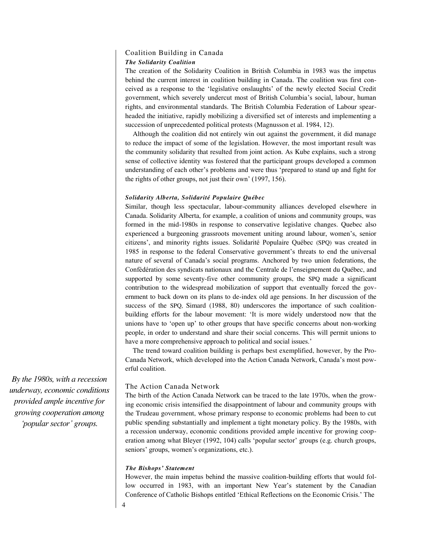#### Coalition Building in Canada *The Solidarity Coalition*

The creation of the Solidarity Coalition in British Columbia in 1983 was the impetus behind the current interest in coalition building in Canada. The coalition was first conceived as a response to the 'legislative onslaughts' of the newly elected Social Credit government, which severely undercut most of British Columbia's social, labour, human rights, and environmental standards. The British Columbia Federation of Labour spearheaded the initiative, rapidly mobilizing a diversified set of interests and implementing a succession of unprecedented political protests (Magnusson et al. 1984, 12).

Although the coalition did not entirely win out against the government, it did manage to reduce the impact of some of the legislation. However, the most important result was the community solidarity that resulted from joint action. As Kube explains, such a strong sense of collective identity was fostered that the participant groups developed a common understanding of each other's problems and were thus 'prepared to stand up and fight for the rights of other groups, not just their own' (1997, 156).

#### *Solidarity Alberta, Solidarité Populaire Québec*

Similar, though less spectacular, labour-community alliances developed elsewhere in Canada. Solidarity Alberta, for example, a coalition of unions and community groups, was formed in the mid-1980s in response to conservative legislative changes. Quebec also experienced a burgeoning grassroots movement uniting around labour, women's, senior citizens', and minority rights issues. Solidarité Populaire Québec (SPQ) was created in 1985 in response to the federal Conservative government's threats to end the universal nature of several of Canada's social programs. Anchored by two union federations, the Confédération des syndicats nationaux and the Centrale de l'enseignement du Québec, and supported by some seventy-five other community groups, the SPQ made a significant contribution to the widespread mobilization of support that eventually forced the government to back down on its plans to de-index old age pensions. In her discussion of the success of the SPQ, Simard (1988, 80) underscores the importance of such coalitionbuilding efforts for the labour movement: 'It is more widely understood now that the unions have to 'open up' to other groups that have specific concerns about non-working people, in order to understand and share their social concerns. This will permit unions to have a more comprehensive approach to political and social issues.'

The trend toward coalition building is perhaps best exemplified, however, by the Pro-Canada Network, which developed into the Action Canada Network, Canada's most powerful coalition.

#### The Action Canada Network

The birth of the Action Canada Network can be traced to the late 1970s, when the growing economic crisis intensified the disappointment of labour and community groups with the Trudeau government, whose primary response to economic problems had been to cut public spending substantially and implement a tight monetary policy. By the 1980s, with a recession underway, economic conditions provided ample incentive for growing cooperation among what Bleyer (1992, 104) calls 'popular sector' groups (e.g. church groups, seniors' groups, women's organizations, etc.).

#### *The Bishops' Statement*

4

However, the main impetus behind the massive coalition-building efforts that would follow occurred in 1983, with an important New Year's statement by the Canadian Conference of Catholic Bishops entitled 'Ethical Reflections on the Economic Crisis.' The

*By the 1980s, with a recession underway, economic conditions provided ample incentive for growing cooperation among 'popular sector' groups.*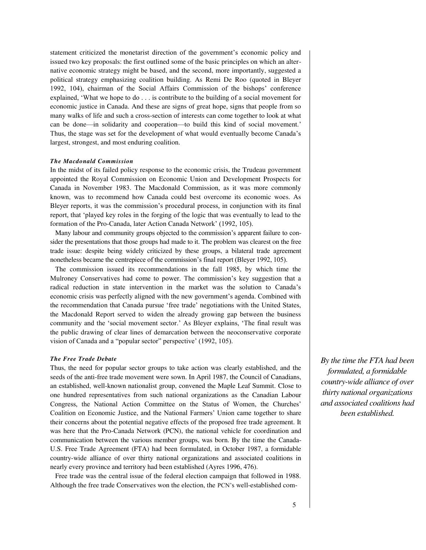statement criticized the monetarist direction of the government's economic policy and issued two key proposals: the first outlined some of the basic principles on which an alternative economic strategy might be based, and the second, more importantly, suggested a political strategy emphasizing coalition building. As Remi De Roo (quoted in Bleyer 1992, 104), chairman of the Social Affairs Commission of the bishops' conference explained, 'What we hope to do . . . is contribute to the building of a social movement for economic justice in Canada. And these are signs of great hope, signs that people from so many walks of life and such a cross-section of interests can come together to look at what can be done—in solidarity and cooperation—to build this kind of social movement.' Thus, the stage was set for the development of what would eventually become Canada's largest, strongest, and most enduring coalition.

#### *The Macdonald Commission*

In the midst of its failed policy response to the economic crisis, the Trudeau government appointed the Royal Commission on Economic Union and Development Prospects for Canada in November 1983. The Macdonald Commission, as it was more commonly known, was to recommend how Canada could best overcome its economic woes. As Bleyer reports, it was the commission's procedural process, in conjunction with its final report, that 'played key roles in the forging of the logic that was eventually to lead to the formation of the Pro-Canada, later Action Canada Network' (1992, 105).

Many labour and community groups objected to the commission's apparent failure to consider the presentations that those groups had made to it. The problem was clearest on the free trade issue: despite being widely criticized by these groups, a bilateral trade agreement nonetheless became the centrepiece of the commission's final report (Bleyer 1992, 105).

The commission issued its recommendations in the fall 1985, by which time the Mulroney Conservatives had come to power. The commission's key suggestion that a radical reduction in state intervention in the market was the solution to Canada's economic crisis was perfectly aligned with the new government's agenda. Combined with the recommendation that Canada pursue 'free trade' negotiations with the United States, the Macdonald Report served to widen the already growing gap between the business community and the 'social movement sector.' As Bleyer explains, 'The final result was the public drawing of clear lines of demarcation between the neoconservative corporate vision of Canada and a "popular sector" perspective' (1992, 105).

#### *The Free Trade Debate*

Thus, the need for popular sector groups to take action was clearly established, and the seeds of the anti-free trade movement were sown. In April 1987, the Council of Canadians, an established, well-known nationalist group, convened the Maple Leaf Summit. Close to one hundred representatives from such national organizations as the Canadian Labour Congress, the National Action Committee on the Status of Women, the Churches' Coalition on Economic Justice, and the National Farmers' Union came together to share their concerns about the potential negative effects of the proposed free trade agreement. It was here that the Pro-Canada Network (PCN), the national vehicle for coordination and communication between the various member groups, was born. By the time the Canada-U.S. Free Trade Agreement (FTA) had been formulated, in October 1987, a formidable country-wide alliance of over thirty national organizations and associated coalitions in nearly every province and territory had been established (Ayres 1996, 476).

Free trade was the central issue of the federal election campaign that followed in 1988. Although the free trade Conservatives won the election, the PCN's well-established com-

*By the time the FTA had been formulated, a formidable country-wide alliance of over thirty national organizations and associated coalitions had been established.*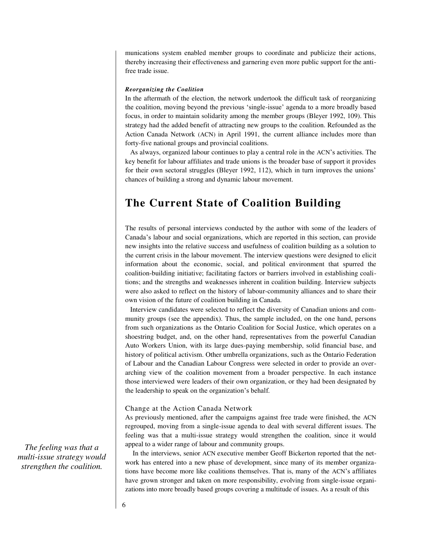munications system enabled member groups to coordinate and publicize their actions, thereby increasing their effectiveness and garnering even more public support for the antifree trade issue.

#### *Reorganizing the Coalition*

In the aftermath of the election, the network undertook the difficult task of reorganizing the coalition, moving beyond the previous 'single-issue' agenda to a more broadly based focus, in order to maintain solidarity among the member groups (Bleyer 1992, 109). This strategy had the added benefit of attracting new groups to the coalition. Refounded as the Action Canada Network (ACN) in April 1991, the current alliance includes more than forty-five national groups and provincial coalitions.

As always, organized labour continues to play a central role in the ACN's activities. The key benefit for labour affiliates and trade unions is the broader base of support it provides for their own sectoral struggles (Bleyer 1992, 112), which in turn improves the unions' chances of building a strong and dynamic labour movement.

### **The Current State of Coalition Building**

The results of personal interviews conducted by the author with some of the leaders of Canada's labour and social organizations, which are reported in this section, can provide new insights into the relative success and usefulness of coalition building as a solution to the current crisis in the labour movement. The interview questions were designed to elicit information about the economic, social, and political environment that spurred the coalition-building initiative; facilitating factors or barriers involved in establishing coalitions; and the strengths and weaknesses inherent in coalition building. Interview subjects were also asked to reflect on the history of labour-community alliances and to share their own vision of the future of coalition building in Canada.

Interview candidates were selected to reflect the diversity of Canadian unions and community groups (see the appendix). Thus, the sample included, on the one hand, persons from such organizations as the Ontario Coalition for Social Justice, which operates on a shoestring budget, and, on the other hand, representatives from the powerful Canadian Auto Workers Union, with its large dues-paying membership, solid financial base, and history of political activism. Other umbrella organizations, such as the Ontario Federation of Labour and the Canadian Labour Congress were selected in order to provide an overarching view of the coalition movement from a broader perspective. In each instance those interviewed were leaders of their own organization, or they had been designated by the leadership to speak on the organization's behalf.

#### Change at the Action Canada Network

As previously mentioned, after the campaigns against free trade were finished, the ACN regrouped, moving from a single-issue agenda to deal with several different issues. The feeling was that a multi-issue strategy would strengthen the coalition, since it would appeal to a wider range of labour and community groups.

In the interviews, senior ACN executive member Geoff Bickerton reported that the network has entered into a new phase of development, since many of its member organizations have become more like coalitions themselves. That is, many of the ACN's affiliates have grown stronger and taken on more responsibility, evolving from single-issue organizations into more broadly based groups covering a multitude of issues. As a result of this

*The feeling was that a multi-issue strategy would strengthen the coalition.*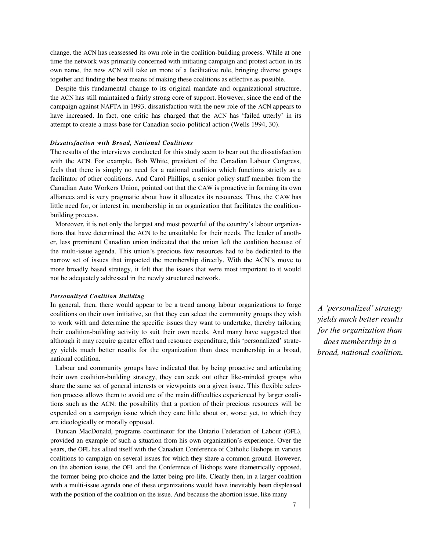change, the ACN has reassessed its own role in the coalition-building process. While at one time the network was primarily concerned with initiating campaign and protest action in its own name, the new ACN will take on more of a facilitative role, bringing diverse groups together and finding the best means of making these coalitions as effective as possible.

Despite this fundamental change to its original mandate and organizational structure, the ACN has still maintained a fairly strong core of support. However, since the end of the campaign against NAFTA in 1993, dissatisfaction with the new role of the ACN appears to have increased. In fact, one critic has charged that the ACN has 'failed utterly' in its attempt to create a mass base for Canadian socio-political action (Wells 1994, 30).

#### *Dissatisfaction with Broad, National Coalitions*

The results of the interviews conducted for this study seem to bear out the dissatisfaction with the ACN. For example, Bob White, president of the Canadian Labour Congress, feels that there is simply no need for a national coalition which functions strictly as a facilitator of other coalitions. And Carol Phillips, a senior policy staff member from the Canadian Auto Workers Union, pointed out that the CAW is proactive in forming its own alliances and is very pragmatic about how it allocates its resources. Thus, the CAW has little need for, or interest in, membership in an organization that facilitates the coalitionbuilding process.

Moreover, it is not only the largest and most powerful of the country's labour organizations that have determined the ACN to be unsuitable for their needs. The leader of another, less prominent Canadian union indicated that the union left the coalition because of the multi-issue agenda. This union's precious few resources had to be dedicated to the narrow set of issues that impacted the membership directly. With the ACN's move to more broadly based strategy, it felt that the issues that were most important to it would not be adequately addressed in the newly structured network.

#### *Personalized Coalition Building*

In general, then, there would appear to be a trend among labour organizations to forge coalitions on their own initiative, so that they can select the community groups they wish to work with and determine the specific issues they want to undertake, thereby tailoring their coalition-building activity to suit their own needs. And many have suggested that although it may require greater effort and resource expenditure, this 'personalized' strategy yields much better results for the organization than does membership in a broad, national coalition.

Labour and community groups have indicated that by being proactive and articulating their own coalition-building strategy, they can seek out other like-minded groups who share the same set of general interests or viewpoints on a given issue. This flexible selection process allows them to avoid one of the main difficulties experienced by larger coalitions such as the ACN: the possibility that a portion of their precious resources will be expended on a campaign issue which they care little about or, worse yet, to which they are ideologically or morally opposed.

Duncan MacDonald, programs coordinator for the Ontario Federation of Labour (OFL), provided an example of such a situation from his own organization's experience. Over the years, the OFL has allied itself with the Canadian Conference of Catholic Bishops in various coalitions to campaign on several issues for which they share a common ground. However, on the abortion issue, the OFL and the Conference of Bishops were diametrically opposed, the former being pro-choice and the latter being pro-life. Clearly then, in a larger coalition with a multi-issue agenda one of these organizations would have inevitably been displeased with the position of the coalition on the issue. And because the abortion issue, like many

*A 'personalized' strategy yields much better results for the organization than does membership in a broad, national coalition.*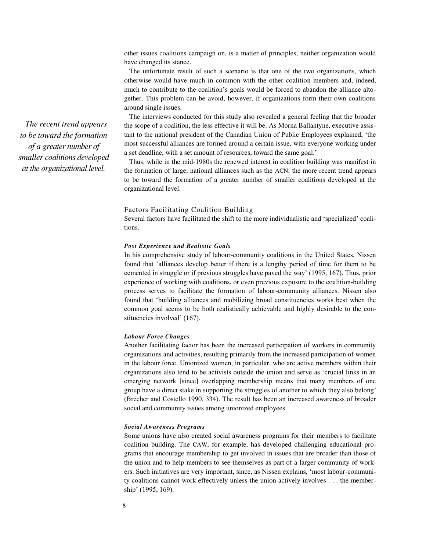other issues coalitions campaign on, is a matter of principles, neither organization would have changed its stance.

The unfortunate result of such a scenario is that one of the two organizations, which otherwise would have much in common with the other coalition members and, indeed, much to contribute to the coalition's goals would be forced to abandon the alliance altogether. This problem can be avoid, however, if organizations form their own coalitions around single issues.

The interviews conducted for this study also revealed a general feeling that the broader the scope of a coalition, the less effective it will be. As Morna Ballantyne, executive assistant to the national president of the Canadian Union of Public Employees explained, 'the most successful alliances are formed around a certain issue, with everyone working under a set deadline, with a set amount of resources, toward the same goal.'

Thus, while in the mid-1980s the renewed interest in coalition building was manifest in the formation of large, national alliances such as the ACN, the more recent trend appears to be toward the formation of a greater number of smaller coalitions developed at the organizational level.

#### Factors Facilitating Coalition Building

Several factors have facilitated the shift to the more individualistic and 'specialized' coalitions.

#### *Post Experience and Realistic Goals*

In his comprehensive study of labour-community coalitions in the United States, Nissen found that 'alliances develop better if there is a lengthy period of time for them to be cemented in struggle or if previous struggles have paved the way' (1995, 167). Thus, prior experience of working with coalitions, or even previous exposure to the coalition-building process serves to facilitate the formation of labour-community alliances. Nissen also found that 'building alliances and mobilizing broad constituencies works best when the common goal seems to be both realistically achievable and highly desirable to the constituencies involved' (167).

#### *Labour Force Changes*

Another facilitating factor has been the increased participation of workers in community organizations and activities, resulting primarily from the increased participation of women in the labour force. Unionized women, in particular, who are active members within their organizations also tend to be activists outside the union and serve as 'crucial links in an emerging network [since] overlapping membership means that many members of one group have a direct stake in supporting the struggles of another to which they also belong' (Brecher and Costello 1990, 334). The result has been an increased awareness of broader social and community issues among unionized employees.

#### *Social Awareness Programs*

Some unions have also created social awareness programs for their members to facilitate coalition building. The CAW, for example, has developed challenging educational programs that encourage membership to get involved in issues that are broader than those of the union and to help members to see themselves as part of a larger community of workers. Such initiatives are very important, since, as Nissen explains, 'most labour-community coalitions cannot work effectively unless the union actively involves . . . the membership' (1995, 169).

*The recent trend appears to be toward the formation of a greater number of smaller coalitions developed at the organizational level.*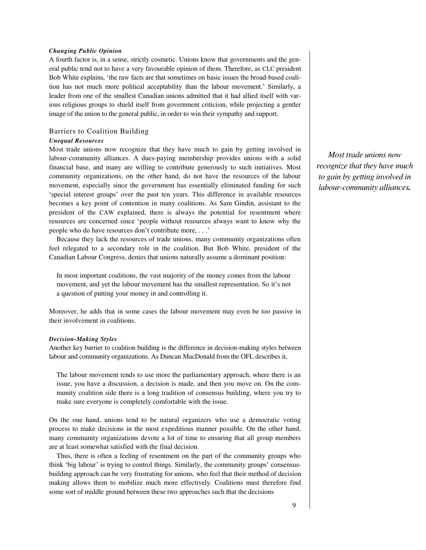#### *Changing Public Opinion*

A fourth factor is, in a sense, strictly cosmetic. Unions know that governments and the general public tend not to have a very favourable opinion of them. Therefore, as CLC president Bob White explains, 'the raw facts are that sometimes on basic issues the broad-based coalition has not much more political acceptability than the labour movement.' Similarly, a leader from one of the smallest Canadian unions admitted that it had allied itself with various religious groups to shield itself from government criticism, while projecting a gentler image of the union to the general public, in order to win their sympathy and support.

#### Barriers to Coalition Building

#### *Unequal Resources*

Most trade unions now recognize that they have much to gain by getting involved in labour-community alliances. A dues-paying membership provides unions with a solid financial base, and many are willing to contribute generously to such initiatives. Most community organizations, on the other hand, do not have the resources of the labour movement, especially since the government has essentially eliminated funding for such 'special interest groups' over the past ten years. This difference in available resources becomes a key point of contention in many coalitions. As Sam Gindin, assistant to the president of the CAW explained, there is always the potential for resentment where resources are concerned since 'people without resources always want to know why the people who do have resources don't contribute more, . . .'

Because they lack the resources of trade unions, many community organizations often feel relegated to a secondary role in the coalition. But Bob White, president of the Canadian Labour Congress, denies that unions naturally assume a dominant position:

In most important coalitions, the vast majority of the money comes from the labour movement, and yet the labour movement has the smallest representation. So it's not a question of putting your money in and controlling it.

Moreover, he adds that in some cases the labour movement may even be too passive in their involvement in coalitions.

#### *Decision-Making Styles*

Another key barrier to coalition building is the difference in decision-making styles between labour and community organizations. As Duncan MacDonald from the OFL describes it,

The labour movement tends to use more the parliamentary approach, where there is an issue, you have a discussion, a decision is made, and then you move on. On the community coalition side there is a long tradition of consensus building, where you try to make sure everyone is completely comfortable with the issue.

On the one hand, unions tend to be natural organizers who use a democratic voting process to make decisions in the most expeditious manner possible. On the other hand, many community organizations devote a lot of time to ensuring that all group members are at least somewhat satisfied with the final decision.

Thus, there is often a feeling of resentment on the part of the community groups who think 'big labour' is trying to control things. Similarly, the community groups' consensusbuilding approach can be very frustrating for unions, who feel that their method of decision making allows them to mobilize much more effectively. Coalitions must therefore find some sort of middle ground between these two approaches such that the decisions

*Most trade unions now recognize that they have much to gain by getting involved in labour-community alliances.*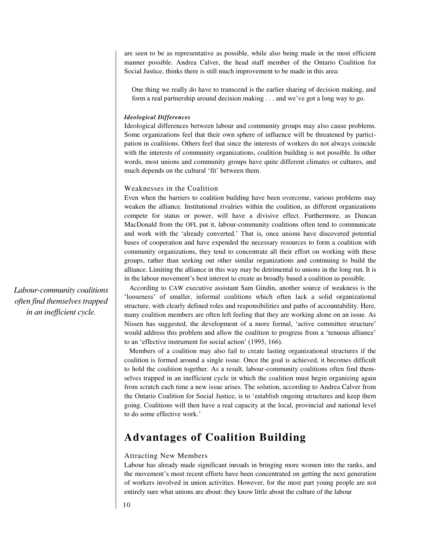are seen to be as representative as possible, while also being made in the most efficient manner possible. Andrea Calver, the head staff member of the Ontario Coalition for Social Justice, thinks there is still much improvement to be made in this area:

One thing we really do have to transcend is the earlier sharing of decision making, and form a real partnership around decision making . . . and we've got a long way to go.

#### *Ideological Differences*

Ideological differences between labour and community groups may also cause problems. Some organizations feel that their own sphere of influence will be threatened by participation in coalitions. Others feel that since the interests of workers do not always coincide with the interests of community organizations, coalition building is not possible. In other words, most unions and community groups have quite different climates or cultures, and much depends on the cultural 'fit' between them.

#### Weaknesses in the Coalition

Even when the barriers to coalition building have been overcome, various problems may weaken the alliance. Institutional rivalries within the coalition, as different organizations compete for status or power, will have a divisive effect. Furthermore, as Duncan MacDonald from the OFL put it, labour-community coalitions often tend to communicate and work with the 'already converted.' That is, once unions have discovered potential bases of cooperation and have expended the necessary resources to form a coalition with community organizations, they tend to concentrate all their effort on working with these groups, rather than seeking out other similar organizations and continuing to build the alliance. Limiting the alliance in this way may be detrimental to unions in the long run. It is in the labour movement's best interest to create as broadly based a coalition as possible.

According to CAW executive assistant Sam Gindin, another source of weakness is the 'looseness' of smaller, informal coalitions which often lack a solid organizational structure, with clearly defined roles and responsibilities and paths of accountability. Here, many coalition members are often left feeling that they are working alone on an issue. As Nissen has suggested, the development of a more formal, 'active committee structure' would address this problem and allow the coalition to progress from a 'tenuous alliance' to an 'effective instrument for social action' (1995, 166).

Members of a coalition may also fail to create lasting organizational structures if the coalition is formed around a single issue. Once the goal is achieved, it becomes difficult to hold the coalition together. As a result, labour-community coalitions often find themselves trapped in an inefficient cycle in which the coalition must begin organizing again from scratch each time a new issue arises. The solution, according to Andrea Calver from the Ontario Coalition for Social Justice, is to 'establish ongoing structures and keep them going. Coalitions will then have a real capacity at the local, provincial and national level to do some effective work.'

### **Advantages of Coalition Building**

#### Attracting New Members

Labour has already made significant inroads in bringing more women into the ranks, and the movement's most recent efforts have been concentrated on getting the next generation of workers involved in union activities. However, for the most part young people are not entirely sure what unions are about: they know little about the culture of the labour

*Labour-community coalitions often find themselves trapped in an inefficient cycle.*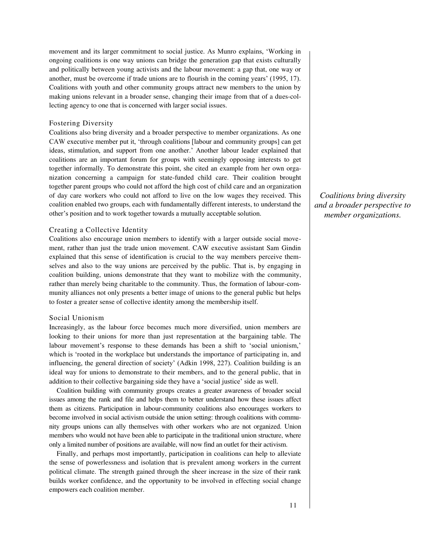movement and its larger commitment to social justice. As Munro explains, 'Working in ongoing coalitions is one way unions can bridge the generation gap that exists culturally and politically between young activists and the labour movement: a gap that, one way or another, must be overcome if trade unions are to flourish in the coming years' (1995, 17). Coalitions with youth and other community groups attract new members to the union by making unions relevant in a broader sense, changing their image from that of a dues-collecting agency to one that is concerned with larger social issues.

#### Fostering Diversity

Coalitions also bring diversity and a broader perspective to member organizations. As one CAW executive member put it, 'through coalitions [labour and community groups] can get ideas, stimulation, and support from one another.' Another labour leader explained that coalitions are an important forum for groups with seemingly opposing interests to get together informally. To demonstrate this point, she cited an example from her own organization concerning a campaign for state-funded child care. Their coalition brought together parent groups who could not afford the high cost of child care and an organization of day care workers who could not afford to live on the low wages they received. This coalition enabled two groups, each with fundamentally different interests, to understand the other's position and to work together towards a mutually acceptable solution.

#### Creating a Collective Identity

Coalitions also encourage union members to identify with a larger outside social movement, rather than just the trade union movement. CAW executive assistant Sam Gindin explained that this sense of identification is crucial to the way members perceive themselves and also to the way unions are perceived by the public. That is, by engaging in coalition building, unions demonstrate that they want to mobilize with the community, rather than merely being charitable to the community. Thus, the formation of labour-community alliances not only presents a better image of unions to the general public but helps to foster a greater sense of collective identity among the membership itself.

#### Social Unionism

Increasingly, as the labour force becomes much more diversified, union members are looking to their unions for more than just representation at the bargaining table. The labour movement's response to these demands has been a shift to 'social unionism,' which is 'rooted in the workplace but understands the importance of participating in, and influencing, the general direction of society' (Adkin 1998, 227). Coalition building is an ideal way for unions to demonstrate to their members, and to the general public, that in addition to their collective bargaining side they have a 'social justice' side as well.

Coalition building with community groups creates a greater awareness of broader social issues among the rank and file and helps them to better understand how these issues affect them as citizens. Participation in labour-community coalitions also encourages workers to become involved in social activism outside the union setting: through coalitions with community groups unions can ally themselves with other workers who are not organized. Union members who would not have been able to participate in the traditional union structure, where only a limited number of positions are available, will now find an outlet for their activism.

Finally, and perhaps most importantly, participation in coalitions can help to alleviate the sense of powerlessness and isolation that is prevalent among workers in the current political climate. The strength gained through the sheer increase in the size of their rank builds worker confidence, and the opportunity to be involved in effecting social change empowers each coalition member.

*Coalitions bring diversity and a broader perspective to member organizations.*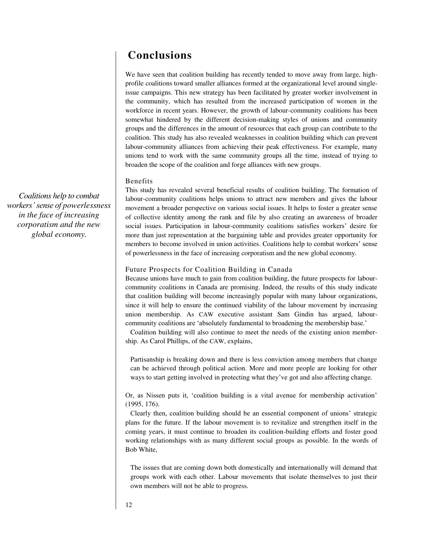### **Conclusions**

We have seen that coalition building has recently tended to move away from large, highprofile coalitions toward smaller alliances formed at the organizational level around singleissue campaigns. This new strategy has been facilitated by greater worker involvement in the community, which has resulted from the increased participation of women in the workforce in recent years. However, the growth of labour-community coalitions has been somewhat hindered by the different decision-making styles of unions and community groups and the differences in the amount of resources that each group can contribute to the coalition. This study has also revealed weaknesses in coalition building which can prevent labour-community alliances from achieving their peak effectiveness. For example, many unions tend to work with the same community groups all the time, instead of trying to broaden the scope of the coalition and forge alliances with new groups.

#### Benefits

This study has revealed several beneficial results of coalition building. The formation of labour-community coalitions helps unions to attract new members and gives the labour movement a broader perspective on various social issues. It helps to foster a greater sense of collective identity among the rank and file by also creating an awareness of broader social issues. Participation in labour-community coalitions satisfies workers' desire for more than just representation at the bargaining table and provides greater opportunity for members to become involved in union activities. Coalitions help to combat workers' sense of powerlessness in the face of increasing corporatism and the new global economy.

#### Future Prospects for Coalition Building in Canada

Because unions have much to gain from coalition building, the future prospects for labourcommunity coalitions in Canada are promising. Indeed, the results of this study indicate that coalition building will become increasingly popular with many labour organizations, since it will help to ensure the continued viability of the labour movement by increasing union membership. As CAW executive assistant Sam Gindin has argued, labourcommunity coalitions are 'absolutely fundamental to broadening the membership base.' Coalition building will also continue to meet the needs of the existing union member-

ship. As Carol Phillips, of the CAW, explains,

Partisanship is breaking down and there is less conviction among members that change can be achieved through political action. More and more people are looking for other ways to start getting involved in protecting what they've got and also affecting change.

Or, as Nissen puts it, 'coalition building is a vital avenue for membership activation' (1995, 176).

Clearly then, coalition building should be an essential component of unions' strategic plans for the future. If the labour movement is to revitalize and strengthen itself in the coming years, it must continue to broaden its coalition-building efforts and foster good working relationships with as many different social groups as possible. In the words of Bob White,

The issues that are coming down both domestically and internationally will demand that groups work with each other. Labour movements that isolate themselves to just their own members will not be able to progress.

*Coalitions help to combat workers' sense of powerlessness in the face of increasing corporatism and the new global economy.*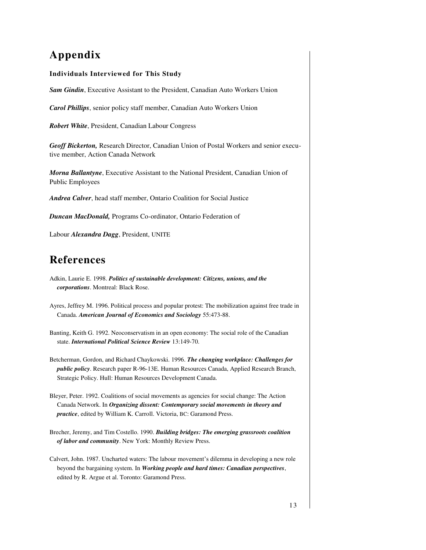## **Appendix**

#### **Individuals Interviewed for This Study**

*Sam Gindin*, Executive Assistant to the President, Canadian Auto Workers Union

*Carol Phillips*, senior policy staff member, Canadian Auto Workers Union

*Robert White*, President, Canadian Labour Congress

*Geoff Bickerton,* Research Director, Canadian Union of Postal Workers and senior executive member, Action Canada Network

*Morna Ballantyne*, Executive Assistant to the National President, Canadian Union of Public Employees

*Andrea Calver*, head staff member, Ontario Coalition for Social Justice

*Duncan MacDonald,* Programs Co-ordinator, Ontario Federation of

Labour *Alexandra Dagg*, President, UNITE

### **References**

- Adkin, Laurie E. 1998. *Politics of sustainable development: Citizens, unions, and the corporations*. Montreal: Black Rose.
- Ayres, Jeffrey M. 1996. Political process and popular protest: The mobilization against free trade in Canada. *American Journal of Economics and Sociology* 55:473-88.
- Banting, Keith G. 1992. Neoconservatism in an open economy: The social role of the Canadian state. *International Political Science Review* 13:149-70.
- Betcherman, Gordon, and Richard Chaykowski. 1996. *The changing workplace: Challenges for public policy*. Research paper R-96-13E. Human Resources Canada, Applied Research Branch, Strategic Policy. Hull: Human Resources Development Canada.
- Bleyer, Peter. 1992. Coalitions of social movements as agencies for social change: The Action Canada Network. In *Organizing dissent: Contemporary social movements in theory and practice*, edited by William K. Carroll. Victoria, BC: Garamond Press.
- Brecher, Jeremy, and Tim Costello. 1990. *Building bridges: The emerging grassroots coalition of labor and community*. New York: Monthly Review Press.
- Calvert, John. 1987. Uncharted waters: The labour movement's dilemma in developing a new role beyond the bargaining system. In *Working people and hard times: Canadian perspectives*, edited by R. Argue et al. Toronto: Garamond Press.